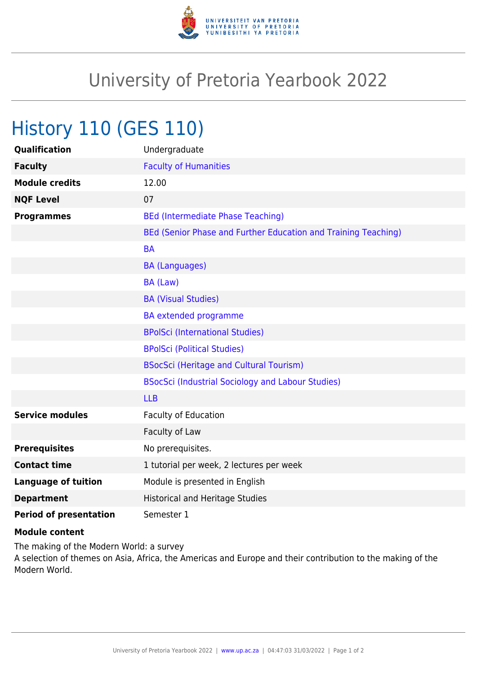

## University of Pretoria Yearbook 2022

## History 110 (GES 110)

| <b>Qualification</b>          | Undergraduate                                                  |
|-------------------------------|----------------------------------------------------------------|
| <b>Faculty</b>                | <b>Faculty of Humanities</b>                                   |
| <b>Module credits</b>         | 12.00                                                          |
| <b>NQF Level</b>              | 07                                                             |
| <b>Programmes</b>             | <b>BEd (Intermediate Phase Teaching)</b>                       |
|                               | BEd (Senior Phase and Further Education and Training Teaching) |
|                               | <b>BA</b>                                                      |
|                               | <b>BA (Languages)</b>                                          |
|                               | BA (Law)                                                       |
|                               | <b>BA (Visual Studies)</b>                                     |
|                               | <b>BA</b> extended programme                                   |
|                               | <b>BPolSci (International Studies)</b>                         |
|                               | <b>BPolSci (Political Studies)</b>                             |
|                               | <b>BSocSci (Heritage and Cultural Tourism)</b>                 |
|                               | BSocSci (Industrial Sociology and Labour Studies)              |
|                               | <b>LLB</b>                                                     |
| <b>Service modules</b>        | <b>Faculty of Education</b>                                    |
|                               | Faculty of Law                                                 |
| <b>Prerequisites</b>          | No prerequisites.                                              |
| <b>Contact time</b>           | 1 tutorial per week, 2 lectures per week                       |
| <b>Language of tuition</b>    | Module is presented in English                                 |
| <b>Department</b>             | <b>Historical and Heritage Studies</b>                         |
| <b>Period of presentation</b> | Semester 1                                                     |

## **Module content**

The making of the Modern World: a survey A selection of themes on Asia, Africa, the Americas and Europe and their contribution to the making of the Modern World.